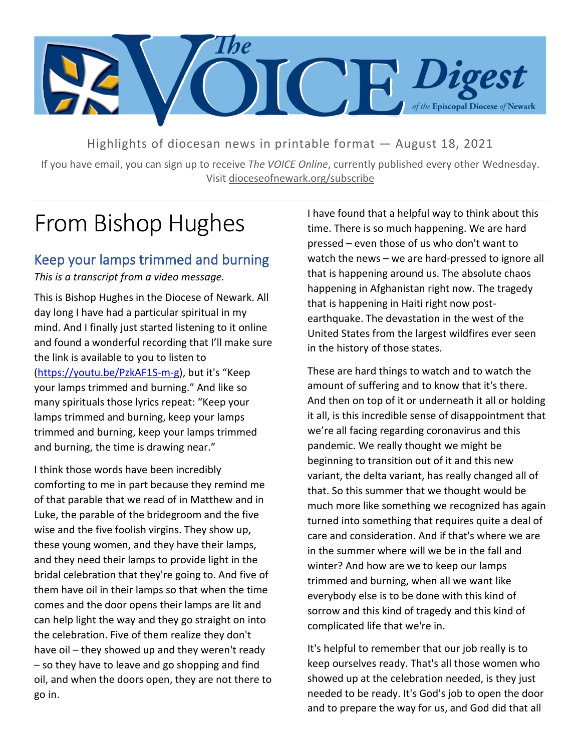

Highlights of diocesan news in printable format — August 18, 2021

If you have email, you can sign up to receive *The VOICE Online*, currently published every other Wednesday. Visit dioceseofnewark.org/subscribe

## From Bishop Hughes

#### Keep your lamps trimmed and burning

*This is a transcript from a video message.*

This is Bishop Hughes in the Diocese of Newark. All day long I have had a particular spiritual in my mind. And I finally just started listening to it online and found a wonderful recording that I'll make sure the link is available to you to listen to [\(https://youtu.be/PzkAF1S-m-g\)](https://youtu.be/PzkAF1S-m-g), but it's "Keep your lamps trimmed and burning." And like so many spirituals those lyrics repeat: "Keep your lamps trimmed and burning, keep your lamps trimmed and burning, keep your lamps trimmed and burning, the time is drawing near."

I think those words have been incredibly comforting to me in part because they remind me of that parable that we read of in Matthew and in Luke, the parable of the bridegroom and the five wise and the five foolish virgins. They show up, these young women, and they have their lamps, and they need their lamps to provide light in the bridal celebration that they're going to. And five of them have oil in their lamps so that when the time comes and the door opens their lamps are lit and can help light the way and they go straight on into the celebration. Five of them realize they don't have oil – they showed up and they weren't ready – so they have to leave and go shopping and find oil, and when the doors open, they are not there to go in.

I have found that a helpful way to think about this time. There is so much happening. We are hard pressed – even those of us who don't want to watch the news – we are hard-pressed to ignore all that is happening around us. The absolute chaos happening in Afghanistan right now. The tragedy that is happening in Haiti right now postearthquake. The devastation in the west of the United States from the largest wildfires ever seen in the history of those states.

These are hard things to watch and to watch the amount of suffering and to know that it's there. And then on top of it or underneath it all or holding it all, is this incredible sense of disappointment that we're all facing regarding coronavirus and this pandemic. We really thought we might be beginning to transition out of it and this new variant, the delta variant, has really changed all of that. So this summer that we thought would be much more like something we recognized has again turned into something that requires quite a deal of care and consideration. And if that's where we are in the summer where will we be in the fall and winter? And how are we to keep our lamps trimmed and burning, when all we want like everybody else is to be done with this kind of sorrow and this kind of tragedy and this kind of complicated life that we're in.

It's helpful to remember that our job really is to keep ourselves ready. That's all those women who showed up at the celebration needed, is they just needed to be ready. It's God's job to open the door and to prepare the way for us, and God did that all